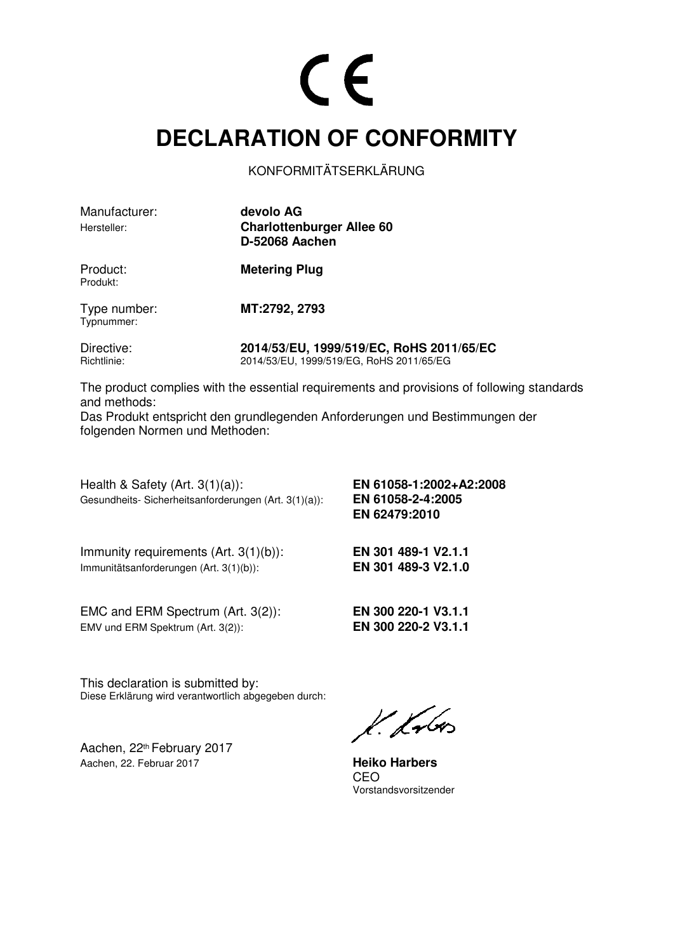#### **DECLARATION OF CONFORMITY**

KONFORMITÄTSERKLÄRUNG

Manufacturer: **devolo AG**

Hersteller: **Charlottenburger Allee 60 D-52068 Aachen**

Produkt:

Product: **Metering Plug** 

Type number: **MT:2792, 2793**  Typnummer:

Directive: **2014/53/EU, 1999/519/EC, RoHS 2011/65/EC** Richtlinie: 2014/53/EU, 1999/519/EG, RoHS 2011/65/EG

The product complies with the essential requirements and provisions of following standards and methods:

Das Produkt entspricht den grundlegenden Anforderungen und Bestimmungen der folgenden Normen und Methoden:

Health & Safety (Art. 3(1)(a)): **EN 61058-1:2002+A2:2008**  Gesundheits- Sicherheitsanforderungen (Art. 3(1)(a)): **EN 61058-2-4:2005** 

 **EN 62479:2010** 

Immunity requirements (Art. 3(1)(b)): **EN 301 489-1 V2.1.1**  Immunitätsanforderungen (Art. 3(1)(b)): **EN 301 489-3 V2.1.0**

EMC and ERM Spectrum (Art. 3(2)): **EN 300 220-1 V3.1.1**  EMV und ERM Spektrum (Art. 3(2)): **EN 300 220-2 V3.1.1** 

This declaration is submitted by: Diese Erklärung wird verantwortlich abgegeben durch:

Aachen, 22th February 2017 Aachen, 22. Februar 2017 **Heiko Harbers**

k. Kr6os

<u>CEO de la contrada de la ciudad de la ciudad de la ciudad de la ciudad de la ciudad de la ciudad de la ciudad d</u> Vorstandsvorsitzender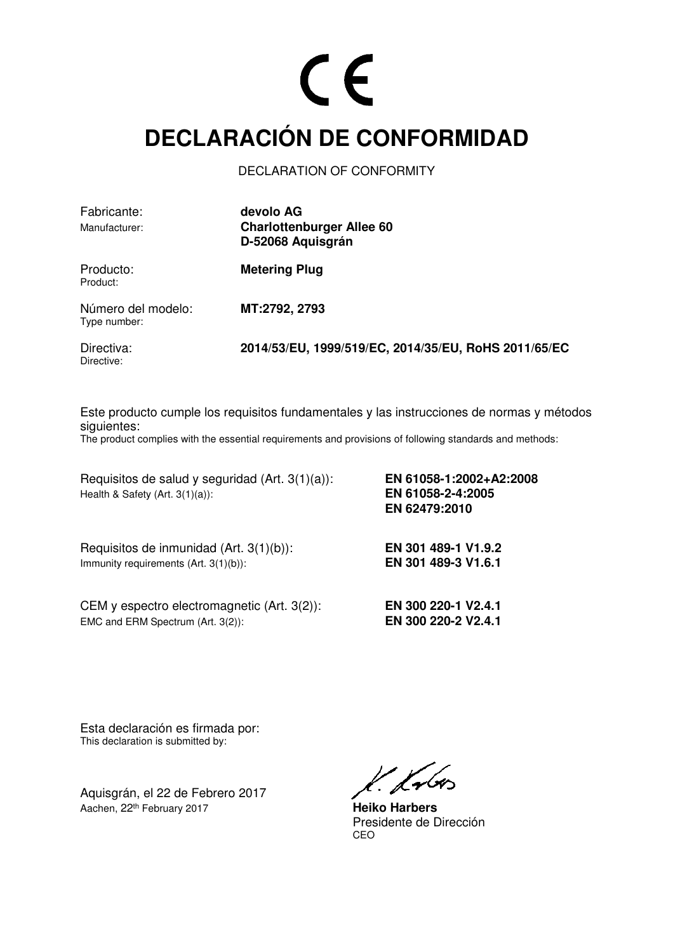#### **DECLARACIÓN DE CONFORMIDAD**

DECLARATION OF CONFORMITY

| Fabricante:                        | devolo AG                                            |
|------------------------------------|------------------------------------------------------|
| Manufacturer:                      | <b>Charlottenburger Allee 60</b>                     |
|                                    | D-52068 Aquisgrán                                    |
| Producto:<br>Product:              | <b>Metering Plug</b>                                 |
| Número del modelo:<br>Type number: | MT:2792, 2793                                        |
| Directiva:<br>Directive:           | 2014/53/EU, 1999/519/EC, 2014/35/EU, RoHS 2011/65/EC |

Este producto cumple los requisitos fundamentales y las instrucciones de normas y métodos siguientes:

The product complies with the essential requirements and provisions of following standards and methods:

Requisitos de salud y seguridad (Art. 3(1)(a)): **EN 61058-1:2002+A2:2008**  Health & Safety (Art. 3(1)(a)): **EN 61058-2-4:2005** 

Requisitos de inmunidad (Art. 3(1)(b)): **EN 301 489-1 V1.9.2**  Immunity requirements (Art. 3(1)(b)): **EN 301 489-3 V1.6.1** 

CEM y espectro electromagnetic (Art. 3(2)): **EN 300 220-1 V2.4.1**  EMC and ERM Spectrum (Art. 3(2)): **EN 300 220-2 V2.4.1** 

**EN 62479:2010** 

Esta declaración es firmada por: This declaration is submitted by:

Aquisgrán, el 22 de Febrero 2017 Aachen, 22th February 2017 **Heiko Harbers**

l. Lubes

Presidente de Dirección<br>CEO <u>CEO de la contrada de la contrada de la contrada de la contrada de la contrada de la contrada de la con</u>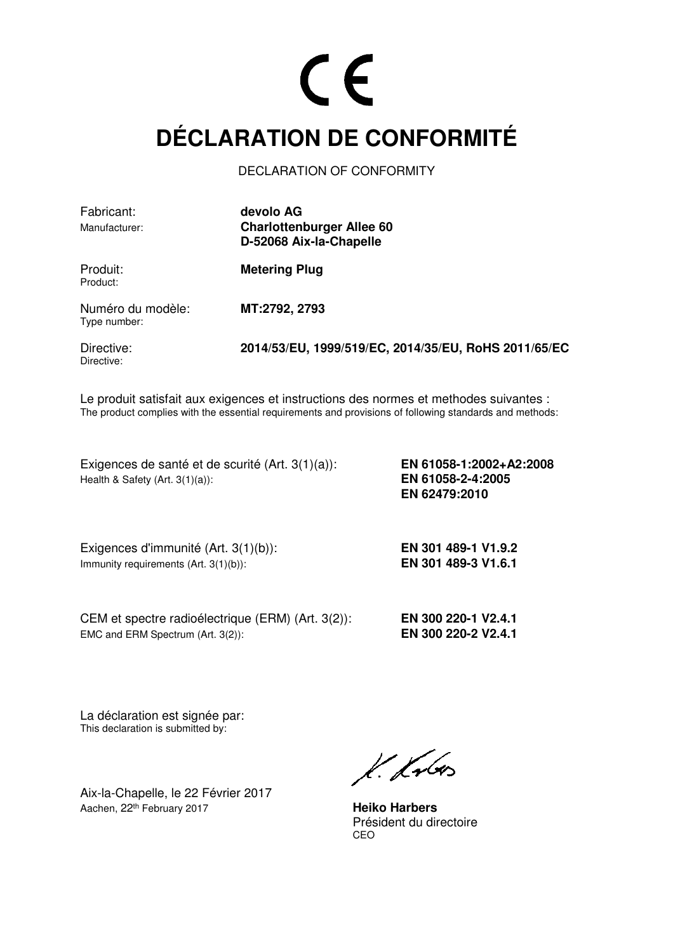### **DÉCLARATION DE CONFORMITÉ**

DECLARATION OF CONFORMITY

| Fabricant:<br>Manufacturer:       | devolo AG<br><b>Charlottenburger Allee 60</b>        |
|-----------------------------------|------------------------------------------------------|
|                                   | D-52068 Aix-la-Chapelle                              |
| Produit:<br>Product:              | <b>Metering Plug</b>                                 |
| Numéro du modèle:<br>Type number: | MT:2792, 2793                                        |
| Directive:<br>Directive:          | 2014/53/EU, 1999/519/EC, 2014/35/EU, RoHS 2011/65/EC |

Le produit satisfait aux exigences et instructions des normes et methodes suivantes : The product complies with the essential requirements and provisions of following standards and methods:

Exigences de santé et de scurité (Art. 3(1)(a)): **EN 61058-1:2002+A2:2008**  Health & Safety (Art. 3(1)(a)): **EN 61058-2-4:2005** 

 **EN 62479:2010** 

Exigences d'immunité (Art. 3(1)(b)): **EN 301 489-1 V1.9.2**  Immunity requirements (Art. 3(1)(b)): **EN 301 489-3 V1.6.1** 

CEM et spectre radioélectrique (ERM) (Art. 3(2)): **EN 300 220-1 V2.4.1** EMC and ERM Spectrum (Art. 3(2)): **EN 300 220-2 V2.4.1**

La déclaration est signée par: This declaration is submitted by:

Aix-la-Chapelle, le 22 Février 2017 Aachen, 22th February 2017 **Heiko Harbers**

K. Krón

Président du directoire<br>CEO <u>CEO de la contrada de la contrada de la contrada de la contrada de la contrada de la contrada de la con</u>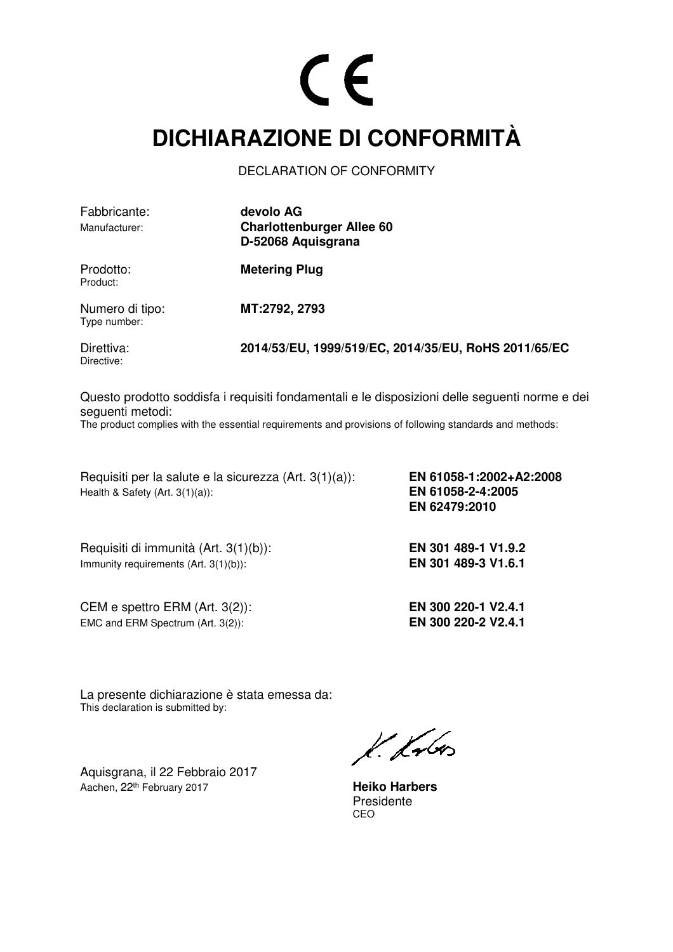#### **DICHIARAZIONE DI CONFORMITÀ**

DECLARATION OF CONFORMITY

| Fabbricante:<br>Manufacturer:   | devolo AG<br><b>Charlottenburger Allee 60</b><br>D-52068 Aquisgrana |
|---------------------------------|---------------------------------------------------------------------|
| Prodotto:<br>Product:           | <b>Metering Plug</b>                                                |
| Numero di tipo:<br>Type number: | MT:2792, 2793                                                       |
| Direttiva:<br>Directive:        | 2014/53/EU, 1999/519/EC, 2014/35/EU, RoHS 2011/65/EC                |

Questo prodotto soddisfa i requisiti fondamentali e le disposizioni delle seguenti norme e dei seguenti metodi:

The product complies with the essential requirements and provisions of following standards and methods:

Requisiti per la salute e la sicurezza (Art. 3(1)(a)): **EN 61058-1:2002+A2:2008**  Health & Safety (Art. 3(1)(a)): **EN 61058-2-4:2005** 

Requisiti di immunità (Art. 3(1)(b)): **EN 301 489-1 V1.9.2**  Immunity requirements (Art. 3(1)(b)): **EN 301 489-3 V1.6.1** 

CEM e spettro ERM (Art. 3(2)): **EN 300 220-1 V2.4.1** EMC and ERM Spectrum (Art. 3(2)): **EN 300 220-2 V2.4.1** 

 **EN 62479:2010** 

La presente dichiarazione è stata emessa da: This declaration is submitted by:

Aquisgrana, il 22 Febbraio 2017 Aachen, 22<sup>th</sup> February 2017 **Heiko Harbers** 

 $k$  kv $6$ 

Presidente<br>CEO <u>CEO de la contrada de la contrada de la contrada de la contrada de la contrada de la contrada de la con</u>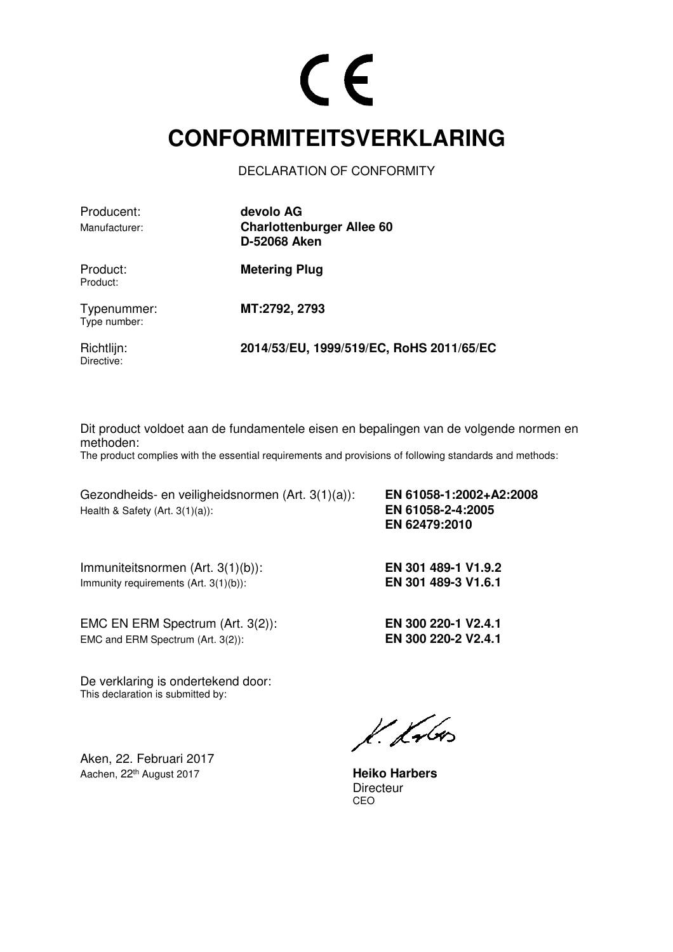#### **CONFORMITEITSVERKLARING**

DECLARATION OF CONFORMITY

| Producent:<br>Manufacturer: | devolo AG<br><b>Charlottenburger Allee 60</b><br>D-52068 Aken |
|-----------------------------|---------------------------------------------------------------|
| Product:<br>Product:        | <b>Metering Plug</b>                                          |
| Typenummer:<br>Type number: | MT:2792, 2793                                                 |
| Richtlijn:<br>Directive:    | 2014/53/EU, 1999/519/EC, RoHS 2011/65/EC                      |

Dit product voldoet aan de fundamentele eisen en bepalingen van de volgende normen en methoden:

The product complies with the essential requirements and provisions of following standards and methods:

Gezondheids- en veiligheidsnormen (Art. 3(1)(a)): **EN 61058-1:2002+A2:2008**  Health & Safety (Art. 3(1)(a)): **EN 61058-2-4:2005** 

Immuniteitsnormen (Art. 3(1)(b)): **EN 301 489-1 V1.9.2**  Immunity requirements (Art. 3(1)(b)): **EN 301 489-3 V1.6.1** 

EMC EN ERM Spectrum (Art. 3(2)): **EN 300 220-1 V2.4.1** EMC and ERM Spectrum (Art. 3(2)): **EN 300 220-2 V2.4.1** 

 **EN 62479:2010** 

De verklaring is ondertekend door: This declaration is submitted by:

Aken, 22. Februari 2017 Aachen, 22th August 2017 **Heiko Harbers**

 $k$ krbo

Directeur<br>CEO <u>CEO de la contrada de la contrada de la contrada de la contrada de la contrada de la contrada de la con</u>